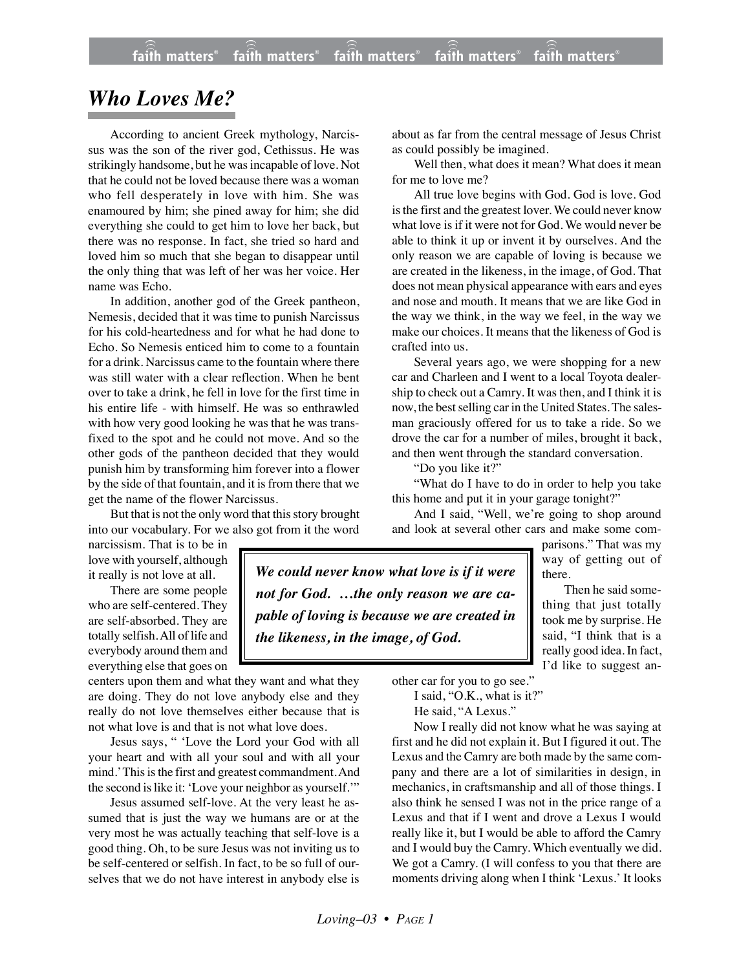## *Who Loves Me?*

According to ancient Greek mythology, Narcissus was the son of the river god, Cethissus. He was strikingly handsome, but he was incapable of love. Not that he could not be loved because there was a woman who fell desperately in love with him. She was enamoured by him; she pined away for him; she did everything she could to get him to love her back, but there was no response. In fact, she tried so hard and loved him so much that she began to disappear until the only thing that was left of her was her voice. Her name was Echo.

In addition, another god of the Greek pantheon, Nemesis, decided that it was time to punish Narcissus for his cold-heartedness and for what he had done to Echo. So Nemesis enticed him to come to a fountain for a drink. Narcissus came to the fountain where there was still water with a clear reflection. When he bent over to take a drink, he fell in love for the first time in his entire life - with himself. He was so enthrawled with how very good looking he was that he was transfixed to the spot and he could not move. And so the other gods of the pantheon decided that they would punish him by transforming him forever into a flower by the side of that fountain, and it is from there that we get the name of the flower Narcissus.

But that is not the only word that this story brought into our vocabulary. For we also got from it the word

narcissism. That is to be in love with yourself, although it really is not love at all.

There are some people who are self-centered. They are self-absorbed. They are totally selfish. All of life and everybody around them and everything else that goes on

centers upon them and what they want and what they are doing. They do not love anybody else and they really do not love themselves either because that is not what love is and that is not what love does.

Jesus says, " 'Love the Lord your God with all your heart and with all your soul and with all your mind.' This is the first and greatest commandment. And the second is like it: 'Love your neighbor as yourself.'"

Jesus assumed self-love. At the very least he assumed that is just the way we humans are or at the very most he was actually teaching that self-love is a good thing. Oh, to be sure Jesus was not inviting us to be self-centered or selfish. In fact, to be so full of ourselves that we do not have interest in anybody else is about as far from the central message of Jesus Christ as could possibly be imagined.

Well then, what does it mean? What does it mean for me to love me?

All true love begins with God. God is love. God is the first and the greatest lover. We could never know what love is if it were not for God. We would never be able to think it up or invent it by ourselves. And the only reason we are capable of loving is because we are created in the likeness, in the image, of God. That does not mean physical appearance with ears and eyes and nose and mouth. It means that we are like God in the way we think, in the way we feel, in the way we make our choices. It means that the likeness of God is crafted into us.

Several years ago, we were shopping for a new car and Charleen and I went to a local Toyota dealership to check out a Camry. It was then, and I think it is now, the best selling car in the United States. The salesman graciously offered for us to take a ride. So we drove the car for a number of miles, brought it back, and then went through the standard conversation.

"Do you like it?"

"What do I have to do in order to help you take this home and put it in your garage tonight?"

And I said, "Well, we're going to shop around and look at several other cars and make some com-

> parisons." That was my way of getting out of there.

Then he said something that just totally took me by surprise. He said, "I think that is a really good idea. In fact, I'd like to suggest an-

*We could never know what love is if it were not for God. …the only reason we are capable of loving is because we are created in the likeness, in the image, of God.*

other car for you to go see."

I said, "O.K., what is it?" He said, "A Lexus."

Now I really did not know what he was saying at first and he did not explain it. But I figured it out. The Lexus and the Camry are both made by the same company and there are a lot of similarities in design, in mechanics, in craftsmanship and all of those things. I also think he sensed I was not in the price range of a Lexus and that if I went and drove a Lexus I would really like it, but I would be able to afford the Camry and I would buy the Camry. Which eventually we did. We got a Camry. (I will confess to you that there are moments driving along when I think 'Lexus.' It looks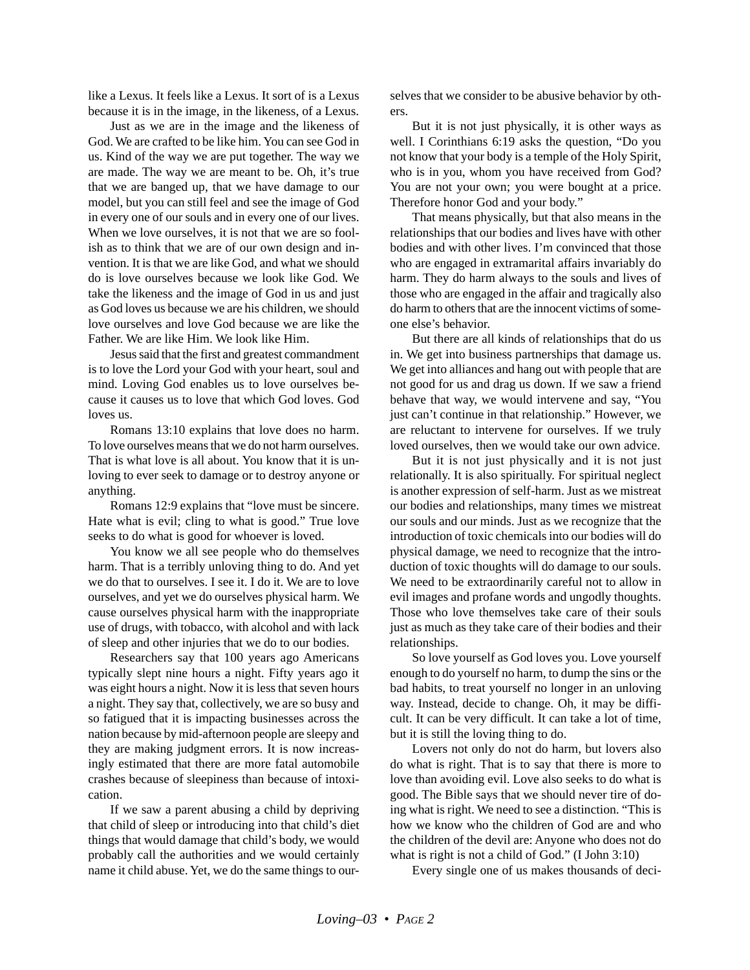like a Lexus. It feels like a Lexus. It sort of is a Lexus because it is in the image, in the likeness, of a Lexus.

Just as we are in the image and the likeness of God. We are crafted to be like him. You can see God in us. Kind of the way we are put together. The way we are made. The way we are meant to be. Oh, it's true that we are banged up, that we have damage to our model, but you can still feel and see the image of God in every one of our souls and in every one of our lives. When we love ourselves, it is not that we are so foolish as to think that we are of our own design and invention. It is that we are like God, and what we should do is love ourselves because we look like God. We take the likeness and the image of God in us and just as God loves us because we are his children, we should love ourselves and love God because we are like the Father. We are like Him. We look like Him.

Jesus said that the first and greatest commandment is to love the Lord your God with your heart, soul and mind. Loving God enables us to love ourselves because it causes us to love that which God loves. God loves us.

Romans 13:10 explains that love does no harm. To love ourselves means that we do not harm ourselves. That is what love is all about. You know that it is unloving to ever seek to damage or to destroy anyone or anything.

Romans 12:9 explains that "love must be sincere. Hate what is evil; cling to what is good." True love seeks to do what is good for whoever is loved.

You know we all see people who do themselves harm. That is a terribly unloving thing to do. And yet we do that to ourselves. I see it. I do it. We are to love ourselves, and yet we do ourselves physical harm. We cause ourselves physical harm with the inappropriate use of drugs, with tobacco, with alcohol and with lack of sleep and other injuries that we do to our bodies.

Researchers say that 100 years ago Americans typically slept nine hours a night. Fifty years ago it was eight hours a night. Now it is less that seven hours a night. They say that, collectively, we are so busy and so fatigued that it is impacting businesses across the nation because by mid-afternoon people are sleepy and they are making judgment errors. It is now increasingly estimated that there are more fatal automobile crashes because of sleepiness than because of intoxication.

If we saw a parent abusing a child by depriving that child of sleep or introducing into that child's diet things that would damage that child's body, we would probably call the authorities and we would certainly name it child abuse. Yet, we do the same things to ourselves that we consider to be abusive behavior by others.

But it is not just physically, it is other ways as well. I Corinthians 6:19 asks the question, "Do you not know that your body is a temple of the Holy Spirit, who is in you, whom you have received from God? You are not your own; you were bought at a price. Therefore honor God and your body."

That means physically, but that also means in the relationships that our bodies and lives have with other bodies and with other lives. I'm convinced that those who are engaged in extramarital affairs invariably do harm. They do harm always to the souls and lives of those who are engaged in the affair and tragically also do harm to others that are the innocent victims of someone else's behavior.

But there are all kinds of relationships that do us in. We get into business partnerships that damage us. We get into alliances and hang out with people that are not good for us and drag us down. If we saw a friend behave that way, we would intervene and say, "You just can't continue in that relationship." However, we are reluctant to intervene for ourselves. If we truly loved ourselves, then we would take our own advice.

But it is not just physically and it is not just relationally. It is also spiritually. For spiritual neglect is another expression of self-harm. Just as we mistreat our bodies and relationships, many times we mistreat our souls and our minds. Just as we recognize that the introduction of toxic chemicals into our bodies will do physical damage, we need to recognize that the introduction of toxic thoughts will do damage to our souls. We need to be extraordinarily careful not to allow in evil images and profane words and ungodly thoughts. Those who love themselves take care of their souls just as much as they take care of their bodies and their relationships.

So love yourself as God loves you. Love yourself enough to do yourself no harm, to dump the sins or the bad habits, to treat yourself no longer in an unloving way. Instead, decide to change. Oh, it may be difficult. It can be very difficult. It can take a lot of time, but it is still the loving thing to do.

Lovers not only do not do harm, but lovers also do what is right. That is to say that there is more to love than avoiding evil. Love also seeks to do what is good. The Bible says that we should never tire of doing what is right. We need to see a distinction. "This is how we know who the children of God are and who the children of the devil are: Anyone who does not do what is right is not a child of God." (I John 3:10)

Every single one of us makes thousands of deci-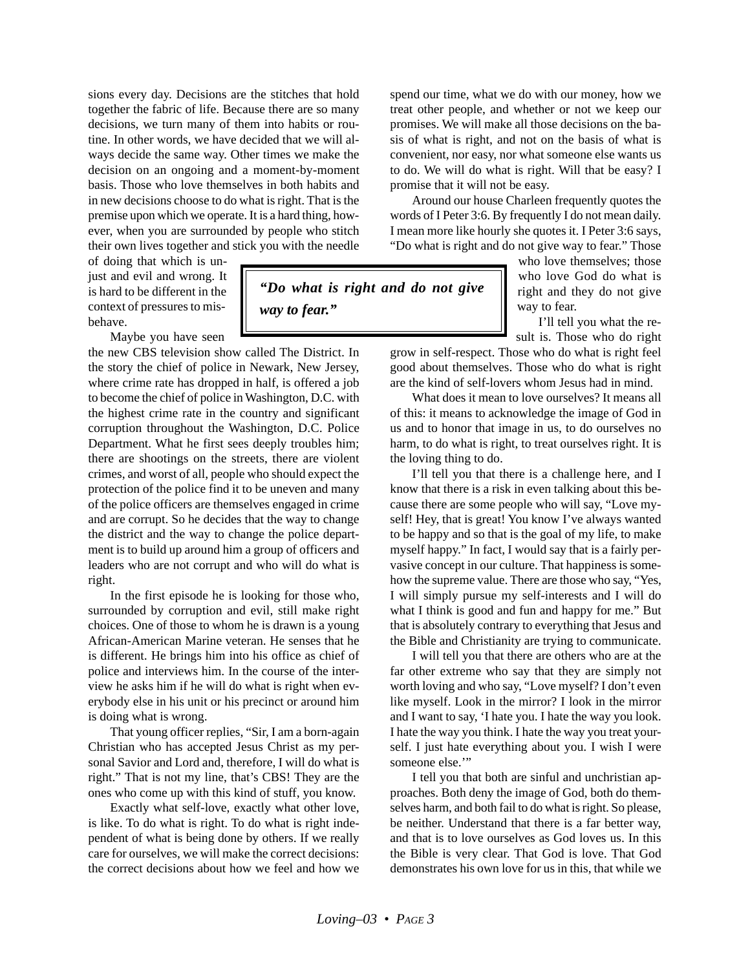sions every day. Decisions are the stitches that hold together the fabric of life. Because there are so many decisions, we turn many of them into habits or routine. In other words, we have decided that we will always decide the same way. Other times we make the decision on an ongoing and a moment-by-moment basis. Those who love themselves in both habits and in new decisions choose to do what is right. That is the premise upon which we operate. It is a hard thing, however, when you are surrounded by people who stitch their own lives together and stick you with the needle

of doing that which is unjust and evil and wrong. It is hard to be different in the context of pressures to misbehave.

Maybe you have seen

the new CBS television show called The District. In the story the chief of police in Newark, New Jersey, where crime rate has dropped in half, is offered a job to become the chief of police in Washington, D.C. with the highest crime rate in the country and significant corruption throughout the Washington, D.C. Police Department. What he first sees deeply troubles him; there are shootings on the streets, there are violent crimes, and worst of all, people who should expect the protection of the police find it to be uneven and many of the police officers are themselves engaged in crime and are corrupt. So he decides that the way to change the district and the way to change the police department is to build up around him a group of officers and leaders who are not corrupt and who will do what is right.

In the first episode he is looking for those who, surrounded by corruption and evil, still make right choices. One of those to whom he is drawn is a young African-American Marine veteran. He senses that he is different. He brings him into his office as chief of police and interviews him. In the course of the interview he asks him if he will do what is right when everybody else in his unit or his precinct or around him is doing what is wrong.

That young officer replies, "Sir, I am a born-again Christian who has accepted Jesus Christ as my personal Savior and Lord and, therefore, I will do what is right." That is not my line, that's CBS! They are the ones who come up with this kind of stuff, you know.

Exactly what self-love, exactly what other love, is like. To do what is right. To do what is right independent of what is being done by others. If we really care for ourselves, we will make the correct decisions: the correct decisions about how we feel and how we spend our time, what we do with our money, how we treat other people, and whether or not we keep our promises. We will make all those decisions on the basis of what is right, and not on the basis of what is convenient, nor easy, nor what someone else wants us to do. We will do what is right. Will that be easy? I promise that it will not be easy.

Around our house Charleen frequently quotes the words of I Peter 3:6. By frequently I do not mean daily. I mean more like hourly she quotes it. I Peter 3:6 says, "Do what is right and do not give way to fear." Those

> who love themselves; those who love God do what is right and they do not give way to fear.

I'll tell you what the result is. Those who do right

grow in self-respect. Those who do what is right feel good about themselves. Those who do what is right are the kind of self-lovers whom Jesus had in mind.

What does it mean to love ourselves? It means all of this: it means to acknowledge the image of God in us and to honor that image in us, to do ourselves no harm, to do what is right, to treat ourselves right. It is the loving thing to do.

I'll tell you that there is a challenge here, and I know that there is a risk in even talking about this because there are some people who will say, "Love myself! Hey, that is great! You know I've always wanted to be happy and so that is the goal of my life, to make myself happy." In fact, I would say that is a fairly pervasive concept in our culture. That happiness is somehow the supreme value. There are those who say, "Yes, I will simply pursue my self-interests and I will do what I think is good and fun and happy for me." But that is absolutely contrary to everything that Jesus and the Bible and Christianity are trying to communicate.

I will tell you that there are others who are at the far other extreme who say that they are simply not worth loving and who say, "Love myself? I don't even like myself. Look in the mirror? I look in the mirror and I want to say, 'I hate you. I hate the way you look. I hate the way you think. I hate the way you treat yourself. I just hate everything about you. I wish I were someone else."

I tell you that both are sinful and unchristian approaches. Both deny the image of God, both do themselves harm, and both fail to do what is right. So please, be neither. Understand that there is a far better way, and that is to love ourselves as God loves us. In this the Bible is very clear. That God is love. That God demonstrates his own love for us in this, that while we

*"Do what is right and do not give*

*way to fear."*